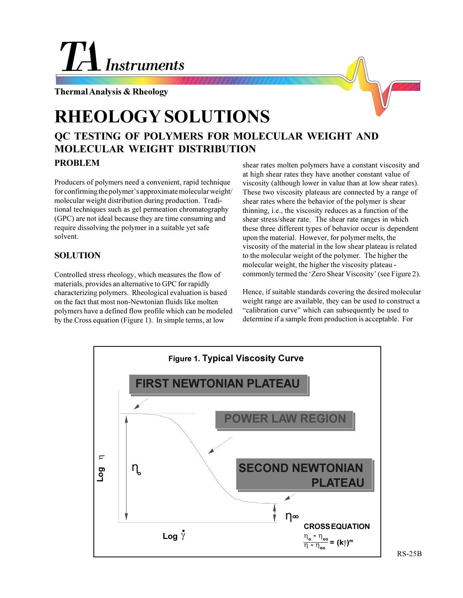# **Instruments**

**Thermal Analysis & Rheology**

# **RHEOLOGY SOLUTIONS**

## **QC TESTING OF POLYMERS FOR MOLECULAR WEIGHT AND MOLECULAR WEIGHT DISTRIBUTION PROBLEM**

Producers of polymers need a convenient, rapid technique for confirming the polymer's approximate molecular weight/ molecular weight distribution during production. Traditional techniques such as gel permeation chromatography (GPC) are not ideal because they are time consuming and require dissolving the polymer in a suitable yet safe solvent.

### **SOLUTION**

Controlled stress rheology, which measures the flow of materials, provides an alternative to GPC for rapidly characterizing polymers. Rheological evaluation is based on the fact that most non-Newtonian fluids like molten polymers have a defined flow profile which can be modeled by the Cross equation (Figure 1). In simple terms, at low

shear rates molten polymers have a constant viscosity and at high shear rates they have another constant value of viscosity (although lower in value than at low shear rates). These two viscosity plateaus are connected by a range of shear rates where the behavior of the polymer is shear thinning, i.e., the viscosity reduces as a function of the shear stress/shear rate. The shear rate ranges in which these three different types of behavior occur is dependent upon the material. However, for polymer melts, the viscosity of the material in the low shear plateau is related to the molecular weight of the polymer. The higher the molecular weight, the higher the viscosity plateau commonly termed the 'Zero Shear Viscosity' (see Figure 2).

Hence, if suitable standards covering the desired molecular weight range are available, they can be used to construct a "calibration curve" which can subsequently be used to determine if a sample from production is acceptable. For



RS-25B